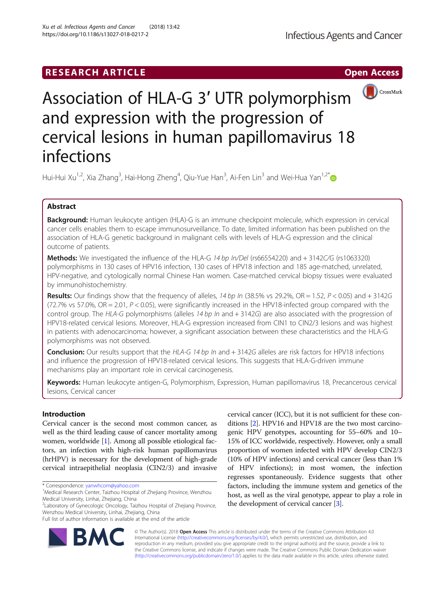## **RESEARCH ARTICLE Example 2014 12:30 The Contract of Contract ACCESS**



# Association of HLA-G 3′ UTR polymorphism and expression with the progression of cervical lesions in human papillomavirus 18 infections

Hui-Hui Xu<sup>1,2</sup>, Xia Zhang<sup>3</sup>, Hai-Hong Zheng<sup>4</sup>, Qiu-Yue Han<sup>3</sup>, Ai-Fen Lin<sup>3</sup> and Wei-Hua Yan<sup>1,2\*</sup>

## Abstract

Background: Human leukocyte antigen (HLA)-G is an immune checkpoint molecule, which expression in cervical cancer cells enables them to escape immunosurveillance. To date, limited information has been published on the association of HLA-G genetic background in malignant cells with levels of HLA-G expression and the clinical outcome of patients.

Methods: We investigated the influence of the HLA-G 14 bp In/Del (rs66554220) and + 3142C/G (rs1063320) polymorphisms in 130 cases of HPV16 infection, 130 cases of HPV18 infection and 185 age-matched, unrelated, HPV-negative, and cytologically normal Chinese Han women. Case-matched cervical biopsy tissues were evaluated by immunohistochemistry.

Results: Our findings show that the frequency of alleles, 14 bp In (38.5% vs 29.2%, OR = 1.52, P < 0.05) and + 3142G (72.7% vs 57.0%, OR = 2.01, P < 0.05), were significantly increased in the HPV18-infected group compared with the control group. The HLA-G polymorphisms (alleles 14 bp In and + 3142G) are also associated with the progression of HPV18-related cervical lesions. Moreover, HLA-G expression increased from CIN1 to CIN2/3 lesions and was highest in patients with adenocarcinoma; however, a significant association between these characteristics and the HLA-G polymorphisms was not observed.

Conclusion: Our results support that the HLA-G 14 bp In and + 3142G alleles are risk factors for HPV18 infections and influence the progression of HPV18-related cervical lesions. This suggests that HLA-G-driven immune mechanisms play an important role in cervical carcinogenesis.

Keywords: Human leukocyte antigen-G, Polymorphism, Expression, Human papillomavirus 18, Precancerous cervical lesions, Cervical cancer

## Introduction

Cervical cancer is the second most common cancer, as well as the third leading cause of cancer mortality among women, worldwide [\[1\]](#page-7-0). Among all possible etiological factors, an infection with high-risk human papillomavirus (hrHPV) is necessary for the development of high-grade cervical intraepithelial neoplasia (CIN2/3) and invasive

\* Correspondence: [yanwhcom@yahoo.com](mailto:yanwhcom@yahoo.com) <sup>1</sup>

2 Laboratory of Gynecologic Oncology, Taizhou Hospital of Zhejiang Province, Wenzhou Medical University, Linhai, Zhejiang, China

cervical cancer (ICC), but it is not sufficient for these conditions [\[2\]](#page-7-0). HPV16 and HPV18 are the two most carcinogenic HPV genotypes, accounting for 55–60% and 10– 15% of ICC worldwide, respectively. However, only a small proportion of women infected with HPV develop CIN2/3 (10% of HPV infections) and cervical cancer (less than 1% of HPV infections); in most women, the infection regresses spontaneously. Evidence suggests that other factors, including the immune system and genetics of the host, as well as the viral genotype, appear to play a role in the development of cervical cancer [[3\]](#page-7-0).



© The Author(s). 2018 Open Access This article is distributed under the terms of the Creative Commons Attribution 4.0 International License [\(http://creativecommons.org/licenses/by/4.0/](http://creativecommons.org/licenses/by/4.0/)), which permits unrestricted use, distribution, and reproduction in any medium, provided you give appropriate credit to the original author(s) and the source, provide a link to the Creative Commons license, and indicate if changes were made. The Creative Commons Public Domain Dedication waiver [\(http://creativecommons.org/publicdomain/zero/1.0/](http://creativecommons.org/publicdomain/zero/1.0/)) applies to the data made available in this article, unless otherwise stated.

<sup>&</sup>lt;sup>1</sup> Medical Research Center, Taizhou Hospital of Zhejiang Province, Wenzhou Medical University, Linhai, Zhejiang, China

Full list of author information is available at the end of the article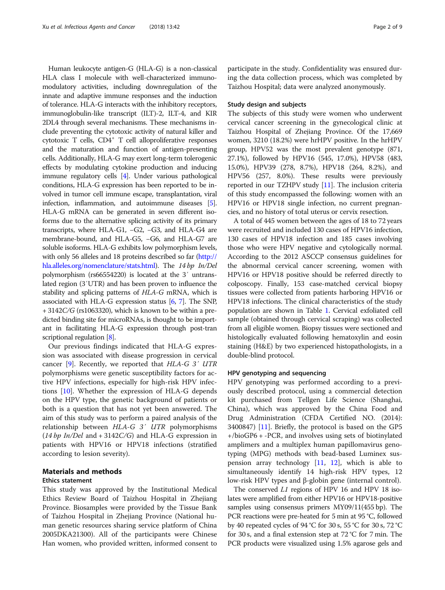Human leukocyte antigen-G (HLA-G) is a non-classical HLA class I molecule with well-characterized immunomodulatory activities, including downregulation of the innate and adaptive immune responses and the induction of tolerance. HLA-G interacts with the inhibitory receptors, immunoglobulin-like transcript (ILT)-2, ILT-4, and KIR 2DL4 through several mechanisms. These mechanisms include preventing the cytotoxic activity of natural killer and cytotoxic T cells, CD4+ T cell alloproliferative responses and the maturation and function of antigen-presenting cells. Additionally, HLA-G may exert long-term tolerogenic effects by modulating cytokine production and inducing immune regulatory cells [[4](#page-7-0)]. Under various pathological conditions, HLA-G expression has been reported to be involved in tumor cell immune escape, transplantation, viral infection, inflammation, and autoimmune diseases [[5](#page-7-0)]. HLA-G mRNA can be generated in seven different isoforms due to the alternative splicing activity of its primary transcripts, where HLA-G1, −G2, −G3, and HLA-G4 are membrane-bound, and HLA-G5, −G6, and HLA-G7 are soluble isoforms. HLA-G exhibits low polymorphism levels, with only 56 alleles and 18 proteins described so far [\(http://](http://hla.alleles.org/nomenclature/stats.html) [hla.alleles.org/nomenclature/stats.html\)](http://hla.alleles.org/nomenclature/stats.html). The 14 bp In/Del polymorphism (rs66554220) is located at the 3′ untranslated region (3′UTR) and has been proven to influence the stability and splicing patterns of HLA-G mRNA, which is associated with HLA-G expression status [\[6,](#page-7-0) [7](#page-7-0)]. The SNP,  $+3142C/G$  (rs1063320), which is known to be within a predicted binding site for microRNAs, is thought to be important in facilitating HLA-G expression through post-tran scriptional regulation [\[8](#page-7-0)].

Our previous findings indicated that HLA-G expression was associated with disease progression in cervical cancer [\[9](#page-7-0)]. Recently, we reported that  $HLA-G$  3'  $UTR$ polymorphisms were genetic susceptibility factors for active HPV infections, especially for high-risk HPV infections [\[10](#page-7-0)]. Whether the expression of HLA-G depends on the HPV type, the genetic background of patients or both is a question that has not yet been answered. The aim of this study was to perform a paired analysis of the relationship between HLA-G 3′ UTR polymorphisms  $(14 bp \ In/Del$  and  $+ 3142C/G)$  and HLA-G expression in patients with HPV16 or HPV18 infections (stratified according to lesion severity).

## Materials and methods

#### Ethics statement

This study was approved by the Institutional Medical Ethics Review Board of Taizhou Hospital in Zhejiang Province. Biosamples were provided by the Tissue Bank of Taizhou Hospital in Zhejiang Province (National human genetic resources sharing service platform of China 2005DKA21300). All of the participants were Chinese Han women, who provided written, informed consent to

participate in the study. Confidentiality was ensured during the data collection process, which was completed by Taizhou Hospital; data were analyzed anonymously.

## Study design and subjects

The subjects of this study were women who underwent cervical cancer screening in the gynecological clinic at Taizhou Hospital of Zhejiang Province. Of the 17,669 women, 3210 (18.2%) were hrHPV positive. In the hrHPV group, HPV52 was the most prevalent genotype (871, 27.1%), followed by HPV16 (545, 17.0%), HPV58 (483, 15.0%), HPV39 (278, 8.7%), HPV18 (264, 8.2%), and HPV56 (257, 8.0%). These results were previously reported in our TZHPV study [\[11\]](#page-7-0). The inclusion criteria of this study encompassed the following: women with an HPV16 or HPV18 single infection, no current pregnancies, and no history of total uterus or cervix resection.

A total of 445 women between the ages of 18 to 72 years were recruited and included 130 cases of HPV16 infection, 130 cases of HPV18 infection and 185 cases involving those who were HPV negative and cytologically normal. According to the 2012 ASCCP consensus guidelines for the abnormal cervical cancer screening, women with HPV16 or HPV18 positive should be referred directly to colposcopy. Finally, 153 case-matched cervical biopsy tissues were collected from patients harboring HPV16 or HPV18 infections. The clinical characteristics of the study population are shown in Table [1.](#page-2-0) Cervical exfoliated cell sample (obtained through cervical scraping) was collected from all eligible women. Biopsy tissues were sectioned and histologically evaluated following hematoxylin and eosin staining (H&E) by two experienced histopathologists, in a double-blind protocol.

## HPV genotyping and sequencing

HPV genotyping was performed according to a previously described protocol, using a commercial detection kit purchased from Tellgen Life Science (Shanghai, China), which was approved by the China Food and Drug Administration (CFDA Certified NO. (2014): 3400847) [[11\]](#page-7-0). Briefly, the protocol is based on the GP5 +/bioGP6 + -PCR, and involves using sets of biotinylated amplimers and a multiplex human papillomavirus genotyping (MPG) methods with bead-based Luminex suspension array technology  $[11, 12]$  $[11, 12]$  $[11, 12]$  $[11, 12]$ , which is able to simultaneously identify 14 high-risk HPV types, 12 low-risk HPV types and β-globin gene (internal control).

The conserved L1 regions of HPV 16 and HPV 18 isolates were amplified from either HPV16 or HPV18-positive samples using consensus primers MY09/11(455 bp). The PCR reactions were pre-heated for 5 min at 95 °C, followed by 40 repeated cycles of 94 °C for 30 s, 55 °C for 30 s, 72 °C for 30 s, and a final extension step at 72 °C for 7 min. The PCR products were visualized using 1.5% agarose gels and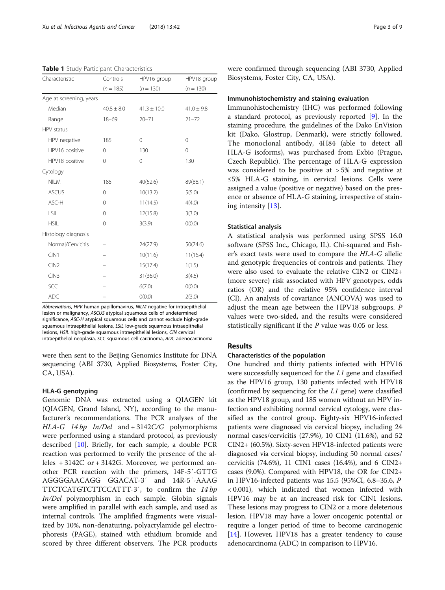<span id="page-2-0"></span>Table 1 Study Participant Characteristics

| Characteristic          | Controls       | HPV16 group     | HPV18 group    |
|-------------------------|----------------|-----------------|----------------|
|                         | $(n = 185)$    | $(n = 130)$     | $(n = 130)$    |
| Age at screening, years |                |                 |                |
| Median                  | $40.8 \pm 8.0$ | $41.3 \pm 10.0$ | $41.0 \pm 9.8$ |
| Range                   | $18 - 69$      | $20 - 71$       | $21 - 72$      |
| HPV status              |                |                 |                |
| HPV negative            | 185            | 0               | 0              |
| HPV16 positive          | 0              | 130             | $\mathbf 0$    |
| HPV18 positive          | 0              | $\mathbf 0$     | 130            |
| Cytology                |                |                 |                |
| <b>NILM</b>             | 185            | 40(52.6)        | 89(88.1)       |
| <b>ASCUS</b>            | 0              | 10(13.2)        | 5(5.0)         |
| ASC-H                   | 0              | 11(14.5)        | 4(4.0)         |
| LSIL                    | 0              | 12(15.8)        | 3(3.0)         |
| <b>HSIL</b>             | $\mathbf 0$    | 3(3.9)          | O(0.0)         |
| Histology diagnosis     |                |                 |                |
| Normal/Cervicitis       |                | 24(27.9)        | 50(74.6)       |
| CIN1                    |                | 10(11.6)        | 11(16.4)       |
| CIN2                    |                | 15(17.4)        | 1(1.5)         |
| CIN3                    |                | 31(36.0)        | 3(4.5)         |
| SCC                     |                | 6(7.0)          | O(0.0)         |
| <b>ADC</b>              |                | O(0.0)          | 2(3.0)         |

Abbreviations, HPV human papillomavirus, NILM negative for intraepithelial lesion or malignancy, ASCUS atypical squamous cells of undetermined significance, ASC-H atypical squamous cells and cannot exclude high-grade squamous intraepithelial lesions, LSIL low-grade squamous intraepithelial lesions, HSIL high-grade squamous intraepithelial lesions, CIN cervical intraepithelial neoplasia, SCC squamous cell carcinoma, ADC adenocarcinoma

were then sent to the Beijing Genomics Institute for DNA sequencing (ABI 3730, Applied Biosystems, Foster City, CA, USA).

## HLA-G genotyping

Genomic DNA was extracted using a QIAGEN kit (QIAGEN, Grand Island, NY), according to the manufacturer's recommendations. The PCR analyses of the HLA-G 14 bp In/Del and + 3142C/G polymorphisms were performed using a standard protocol, as previously described [\[10](#page-7-0)]. Briefly, for each sample, a double PCR reaction was performed to verify the presence of the alleles + 3142C or + 3142G. Moreover, we performed another PCR reaction with the primers, 14F-5′-GTTG AGGGGAACAGG GGACAT-3′ and 14R-5′-AAAG TTCTCATGTCTTCCATTT-3′, to confirm the 14 bp In/Del polymorphism in each sample. Globin signals were amplified in parallel with each sample, and used as internal controls. The amplified fragments were visualized by 10%, non-denaturing, polyacrylamide gel electrophoresis (PAGE), stained with ethidium bromide and scored by three different observers. The PCR products were confirmed through sequencing (ABI 3730, Applied Biosystems, Foster City, CA, USA).

## Immunohistochemistry and staining evaluation

Immunohistochemistry (IHC) was performed following a standard protocol, as previously reported [\[9](#page-7-0)]. In the staining procedure, the guidelines of the Dako EnVision kit (Dako, Glostrup, Denmark), were strictly followed. The monoclonal antibody, 4H84 (able to detect all HLA-G isoforms), was purchased from Exbio (Prague, Czech Republic). The percentage of HLA-G expression was considered to be positive at > 5% and negative at ≤5% HLA-G staining, in cervical lesions. Cells were assigned a value (positive or negative) based on the presence or absence of HLA-G staining, irrespective of staining intensity [\[13](#page-7-0)].

## Statistical analysis

A statistical analysis was performed using SPSS 16.0 software (SPSS Inc., Chicago, IL). Chi-squared and Fisher's exact tests were used to compare the HLA-G allelic and genotypic frequencies of controls and patients. They were also used to evaluate the relative CIN2 or CIN2+ (more severe) risk associated with HPV genotypes, odds ratios (OR) and the relative 95% confidence interval (CI). An analysis of covariance (ANCOVA) was used to adjust the mean age between the HPV18 subgroups. P values were two-sided, and the results were considered statistically significant if the P value was 0.05 or less.

## Results

## Characteristics of the population

One hundred and thirty patients infected with HPV16 were successfully sequenced for the L1 gene and classified as the HPV16 group, 130 patients infected with HPV18 (confirmed by sequencing for the L1 gene) were classified as the HPV18 group, and 185 women without an HPV infection and exhibiting normal cervical cytology, were classified as the control group. Eighty-six HPV16-infected patients were diagnosed via cervical biopsy, including 24 normal cases/cervicitis (27.9%), 10 CIN1 (11.6%), and 52 CIN2+ (60.5%). Sixty-seven HPV18-infected patients were diagnosed via cervical biopsy, including 50 normal cases/ cervicitis (74.6%), 11 CIN1 cases (16.4%), and 6 CIN2+ cases (9.0%). Compared with HPV18, the OR for CIN2+ in HPV16-infected patients was 15.5 (95%CI, 6.8–35.6, P < 0.001), which indicated that women infected with HPV16 may be at an increased risk for CIN1 lesions. These lesions may progress to CIN2 or a more deleterious lesion. HPV18 may have a lower oncogenic potential or require a longer period of time to become carcinogenic [[14](#page-7-0)]. However, HPV18 has a greater tendency to cause adenocarcinoma (ADC) in comparison to HPV16.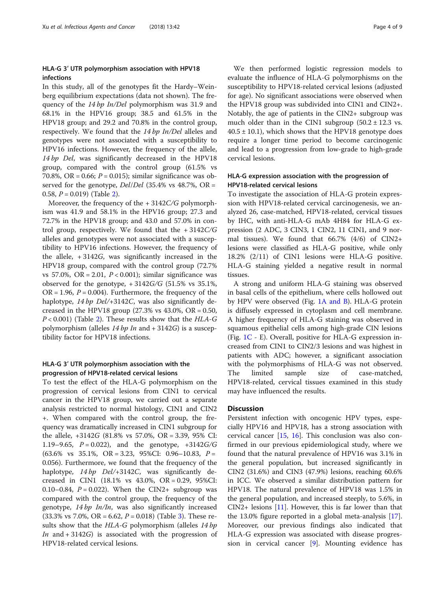## HLA-G 3′ UTR polymorphism association with HPV18 infections

In this study, all of the genotypes fit the Hardy–Weinberg equilibrium expectations (data not shown). The frequency of the 14 bp In/Del polymorphism was 31.9 and 68.1% in the HPV16 group; 38.5 and 61.5% in the HPV18 group; and 29.2 and 70.8% in the control group, respectively. We found that the 14 bp In/Del alleles and genotypes were not associated with a susceptibility to HPV16 infections. However, the frequency of the allele, 14 bp Del, was significantly decreased in the HPV18 group, compared with the control group (61.5% vs 70.8%, OR = 0.66;  $P = 0.015$ ); similar significance was observed for the genotype,  $Del/Del$  (35.4% vs 48.7%, OR = 0.58,  $P = 0.019$  (Table [2\)](#page-4-0).

Moreover, the frequency of the + 3142C/G polymorphism was 41.9 and 58.1% in the HPV16 group; 27.3 and 72.7% in the HPV18 group; and 43.0 and 57.0% in control group, respectively. We found that the  $+3142C/G$ alleles and genotypes were not associated with a susceptibility to HPV16 infections. However, the frequency of the allele,  $+3142G$ , was significantly increased in the HPV18 group, compared with the control group (72.7% vs 57.0%, OR = 2.01,  $P < 0.001$ ); similar significance was observed for the genotype,  $+3142G/G$  (51.5% vs 35.1%,  $OR = 1.96$ ,  $P = 0.004$ ). Furthermore, the frequency of the haplotype, 14 bp Del/+3142C, was also significantly decreased in the HPV18 group  $(27.3\% \text{ vs } 43.0\% \text{ or } 0.50, 0.50)$  $P < 0.001$ ) (Table [2\)](#page-4-0). These results show that the HLA-G polymorphism (alleles  $14 bp$  In and  $+ 3142G$ ) is a susceptibility factor for HPV18 infections.

## HLA-G 3′ UTR polymorphism association with the progression of HPV18-related cervical lesions

To test the effect of the HLA-G polymorphism on the progression of cervical lesions from CIN1 to cervical cancer in the HPV18 group, we carried out a separate analysis restricted to normal histology, CIN1 and CIN2 +. When compared with the control group, the frequency was dramatically increased in CIN1 subgroup for the allele, +3142G (81.8% vs 57.0%, OR = 3.39, 95% CI: 1.19–9.65,  $P = 0.022$ ), and the genotype,  $+3142G/G$  $(63.6\% \text{ vs } 35.1\%, \text{ OR } = 3.23, \text{ 95\%CI: } 0.96-10.83, P =$ 0.056). Furthermore, we found that the frequency of the haplotype,  $14 bp$  Del/+3142C, was significantly decreased in CIN1 (18.1% vs 43.0%, OR = 0.29, 95%CI: 0.10–0.84,  $P = 0.022$ ). When the CIN2+ subgroup was compared with the control group, the frequency of the genotype, 14 bp In/In, was also significantly increased  $(33.3\% \text{ vs } 7.0\%, \text{ OR } = 6.62, P = 0.018)$  $(33.3\% \text{ vs } 7.0\%, \text{ OR } = 6.62, P = 0.018)$  $(33.3\% \text{ vs } 7.0\%, \text{ OR } = 6.62, P = 0.018)$  (Table 3). These results show that the  $HLA-G$  polymorphism (alleles  $14 bp$ *In* and  $+3142G$  is associated with the progression of HPV18-related cervical lesions.

We then performed logistic regression models to evaluate the influence of HLA-G polymorphisms on the susceptibility to HPV18-related cervical lesions (adjusted for age). No significant associations were observed when the HPV18 group was subdivided into CIN1 and CIN2+. Notably, the age of patients in the CIN2+ subgroup was much older than in the CIN1 subgroup  $(50.2 \pm 12.3 \text{ vs.})$  $40.5 \pm 10.1$ ), which shows that the HPV18 genotype does require a longer time period to become carcinogenic and lead to a progression from low-grade to high-grade cervical lesions.

## HLA-G expression association with the progression of HPV18-related cervical lesions

To investigate the association of HLA-G protein expression with HPV18-related cervical carcinogenesis, we analyzed 26, case-matched, HPV18-related, cervical tissues by IHC, with anti-HLA-G mAb 4H84 for HLA-G expression (2 ADC, 3 CIN3, 1 CIN2, 11 CIN1, and 9 normal tissues). We found that 66.7% (4/6) of CIN2+ lesions were classified as HLA-G positive, while only 18.2% (2/11) of CIN1 lesions were HLA-G positive. HLA-G staining yielded a negative result in normal tissues.

A strong and uniform HLA-G staining was observed in basal cells of the epithelium, where cells hollowed out by HPV were observed (Fig. [1A and B](#page-6-0)). HLA-G protein is diffusely expressed in cytoplasm and cell membrane. A higher frequency of HLA-G staining was observed in squamous epithelial cells among high-grade CIN lesions (Fig.  $1C - E$  $1C - E$ ). Overall, positive for HLA-G expression increased from CIN1 to CIN2/3 lesions and was highest in patients with ADC; however, a significant association with the polymorphisms of HLA-G was not observed. The limited sample size of case-matched, HPV18-related, cervical tissues examined in this study may have influenced the results.

## **Discussion**

Persistent infection with oncogenic HPV types, especially HPV16 and HPV18, has a strong association with cervical cancer [\[15](#page-7-0), [16](#page-7-0)]. This conclusion was also confirmed in our previous epidemiological study, where we found that the natural prevalence of HPV16 was 3.1% in the general population, but increased significantly in CIN2 (31.6%) and CIN3 (47.9%) lesions, reaching 60.6% in ICC. We observed a similar distribution pattern for HPV18. The natural prevalence of HPV18 was 1.5% in the general population, and increased steeply, to 5.6%, in CIN2+ lesions [[11\]](#page-7-0). However, this is far lower than that the 13.0% figure reported in a global meta-analysis [\[17](#page-7-0)]. Moreover, our previous findings also indicated that HLA-G expression was associated with disease progression in cervical cancer [[9\]](#page-7-0). Mounting evidence has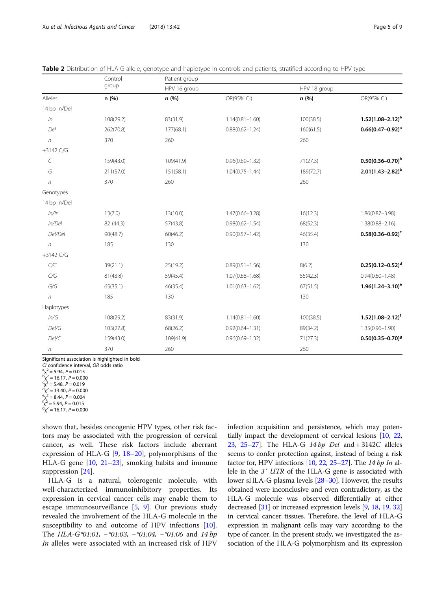<span id="page-4-0"></span>

| Table 2 Distribution of HLA-G allele, genotype and haplotype in controls and patients, stratified according to HPV type |  |  |  |  |  |
|-------------------------------------------------------------------------------------------------------------------------|--|--|--|--|--|
|-------------------------------------------------------------------------------------------------------------------------|--|--|--|--|--|

|                          | Control   | Patient group |                     |              |                         |  |
|--------------------------|-----------|---------------|---------------------|--------------|-------------------------|--|
| group<br>Alleles<br>n(%) |           | HPV 16 group  |                     | HPV 18 group |                         |  |
|                          |           | n(%)          | OR(95% CI)          | n(%)         | OR(95% CI)              |  |
| 14 bp In/Del             |           |               |                     |              |                         |  |
| ln                       | 108(29.2) | 83(31.9)      | $1.14(0.81 - 1.60)$ | 100(38.5)    | $1.52(1.08 - 2.12)^a$   |  |
| Del                      | 262(70.8) | 177(68.1)     | $0.88(0.62 - 1.24)$ | 160(61.5)    | $0.66(0.47 - 0.92)^a$   |  |
| $\sqrt{n}$               | 370       | 260           |                     | 260          |                         |  |
| $+3142$ C/G              |           |               |                     |              |                         |  |
| $\mathcal{C}_{0}^{2}$    | 159(43.0) | 109(41.9)     | $0.96(0.69 - 1.32)$ | 71(27.3)     | $0.50(0.36 - 0.70)^b$   |  |
| G                        | 211(57.0) | 151(58.1)     | $1.04(0.75 - 1.44)$ | 189(72.7)    | $2.01(1.43 - 2.82)^{b}$ |  |
| $\boldsymbol{n}$         | 370       | 260           |                     | 260          |                         |  |
| Genotypes                |           |               |                     |              |                         |  |
| 14 bp In/Del             |           |               |                     |              |                         |  |
| ln/ln                    | 13(7.0)   | 13(10.0)      | $1.47(0.66 - 3.28)$ | 16(12.3)     | $1.86(0.87 - 3.98)$     |  |
| In/Del                   | 82 (44.3) | 57(43.8)      | $0.98(0.62 - 1.54)$ | 68(52.3)     | $1.38(0.88 - 2.16)$     |  |
| Del/Del                  | 90(48.7)  | 60(46.2)      | $0.90(0.57 - 1.42)$ | 46(35.4)     | $0.58(0.36 - 0.92)^c$   |  |
| $\eta$                   | 185       | 130           |                     | 130          |                         |  |
| $+3142$ C/G              |           |               |                     |              |                         |  |
| C/C                      | 39(21.1)  | 25(19.2)      | $0.89(0.51 - 1.56)$ | 8(6.2)       | $0.25(0.12 - 0.52)^d$   |  |
| $C/G$                    | 81(43.8)  | 59(45.4)      | $1.07(0.68 - 1.68)$ | 55(42.3)     | $0.94(0.60 - 1.48)$     |  |
| $G/G$                    | 65(35.1)  | 46(35.4)      | $1.01(0.63 - 1.62)$ | 67(51.5)     | $1.96(1.24 - 3.10)^e$   |  |
| $\boldsymbol{n}$         | 185       | 130           |                     | 130          |                         |  |
| Haplotypes               |           |               |                     |              |                         |  |
| ln/G                     | 108(29.2) | 83(31.9)      | $1.14(0.81 - 1.60)$ | 100(38.5)    | $1.52(1.08 - 2.12)^f$   |  |
| Del/G                    | 103(27.8) | 68(26.2)      | $0.92(0.64 - 1.31)$ | 89(34.2)     | $1.35(0.96 - 1.90)$     |  |
| DeVC                     | 159(43.0) | 109(41.9)     | $0.96(0.69 - 1.32)$ | 71(27.3)     | $0.50(0.35 - 0.70)^9$   |  |
| n                        | 370       | 260           |                     | 260          |                         |  |

Significant association is highlighted in bold

CI confidence interval, OR odds ratio  $\alpha$ <sup>2</sup> = 5.94, P = 0.015

 $\hat{p}_{\text{X}}^2$  = 16.17, P = 0.000

 $\binom{q}{X^2} = 5.48, P = 0.019$ <br>  $\binom{q}{X^2} = 13.40, P = 0.000$ <br>  $\binom{q}{X^2} = 8.44, P = 0.004$ 

 $\sqrt{\frac{e}{x^2}} = 8.44$ ,  $P = 0.004$ <br> $\frac{f_y^2 - 5.94}{P} = 0.015$  $g_y^2$  = 5.94, P = 0.015<br> $g_y^2$  – 16.17, P – 0.00

 $\sigma_{\text{X}}^2$  = 16.17, P = 0.000

shown that, besides oncogenic HPV types, other risk factors may be associated with the progression of cervical cancer, as well. These risk factors include aberrant expression of HLA-G [[9](#page-7-0), [18](#page-7-0)–[20\]](#page-7-0), polymorphisms of the HLA-G gene [\[10](#page-7-0), [21](#page-7-0)–[23](#page-7-0)], smoking habits and immune suppression [\[24\]](#page-7-0).

HLA-G is a natural, tolerogenic molecule, with well-characterized immunoinhibitory properties. Its expression in cervical cancer cells may enable them to escape immunosurveillance [[5,](#page-7-0) [9\]](#page-7-0). Our previous study revealed the involvement of the HLA-G molecule in the susceptibility to and outcome of HPV infections [\[10](#page-7-0)]. The *HLA-G\*01:01*, -*\*01:03*, -*\*01:04*, -*\*01:06* and 14 bp In alleles were associated with an increased risk of HPV

infection acquisition and persistence, which may potentially impact the development of cervical lesions [\[10,](#page-7-0) [22](#page-7-0), [23](#page-7-0), [25](#page-7-0)–[27\]](#page-8-0). The HLA-G 14 bp Del and + 3142C alleles seems to confer protection against, instead of being a risk factor for, HPV infections  $[10, 22, 25-27]$  $[10, 22, 25-27]$  $[10, 22, 25-27]$  $[10, 22, 25-27]$  $[10, 22, 25-27]$  $[10, 22, 25-27]$  $[10, 22, 25-27]$  $[10, 22, 25-27]$  $[10, 22, 25-27]$ . The 14 bp In allele in the 3′ UTR of the HLA-G gene is associated with lower sHLA-G plasma levels [[28](#page-8-0)–[30](#page-8-0)]. However, the results obtained were inconclusive and even contradictory, as the HLA-G molecule was observed differentially at either decreased [\[31\]](#page-8-0) or increased expression levels [[9](#page-7-0), [18,](#page-7-0) [19](#page-7-0), [32](#page-8-0)] in cervical cancer tissues. Therefore, the level of HLA-G expression in malignant cells may vary according to the type of cancer. In the present study, we investigated the association of the HLA-G polymorphism and its expression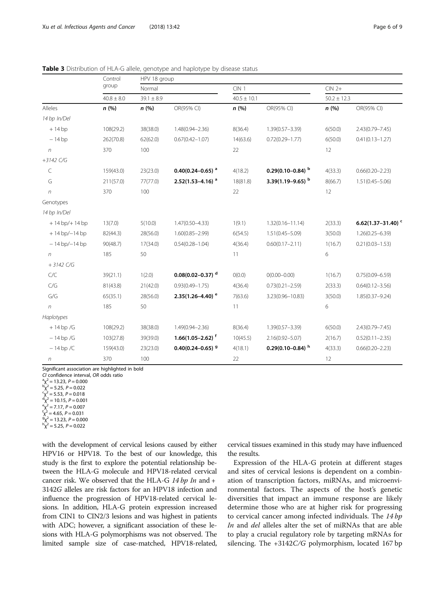<span id="page-5-0"></span>

|                    | Control   | HPV 18 group   |                                  |                  |                      |                 |                               |  |
|--------------------|-----------|----------------|----------------------------------|------------------|----------------------|-----------------|-------------------------------|--|
|                    | group     | Normal         |                                  | CIN <sub>1</sub> |                      |                 | $CIN2+$                       |  |
| $40.8 \pm 8.0$     |           | $39.1 \pm 8.9$ |                                  | $40.5 \pm 10.1$  |                      | $50.2 \pm 12.3$ |                               |  |
| Alleles            | n(%)      | n(%)           | OR(95% CI)                       | n(%)             | OR(95% CI)           | n(%)            | OR(95% CI)                    |  |
| 14 bp In/Del       |           |                |                                  |                  |                      |                 |                               |  |
| $+14bp$            | 108(29.2) | 38(38.0)       | $1.48(0.94 - 2.36)$              | 8(36.4)          | $1.39(0.57 - 3.39)$  | 6(50.0)         | $2.43(0.79 - 7.45)$           |  |
| $-14bp$            | 262(70.8) | 62(62.0)       | $0.67(0.42 - 1.07)$              | 14(63.6)         | $0.72(0.29 - 1.77)$  | 6(50.0)         | $0.41(0.13 - 1.27)$           |  |
| $\eta$             | 370       | 100            |                                  | 22               |                      | 12              |                               |  |
| +3142 C/G          |           |                |                                  |                  |                      |                 |                               |  |
| C                  | 159(43.0) | 23(23.0)       | $0.40(0.24 - 0.65)^{a}$          | 4(18.2)          | 0.29(0.10-0.84) b    | 4(33.3)         | $0.66(0.20 - 2.23)$           |  |
| G                  | 211(57.0) | 77(77.0)       | $2.52(1.53 - 4.16)^{a}$          | 18(81.8)         | 3.39(1.19–9.65) b    | 8(66.7)         | $1.51(0.45 - 5.06)$           |  |
| $\sqrt{n}$         | 370       | 100            |                                  | 22               |                      | 12              |                               |  |
| Genotypes          |           |                |                                  |                  |                      |                 |                               |  |
| 14 bp In/Del       |           |                |                                  |                  |                      |                 |                               |  |
| $+14$ bp/ $+14$ bp | 13(7.0)   | 5(10.0)        | $1.47(0.50 - 4.33)$              | 1(9.1)           | $1.32(0.16 - 11.14)$ | 2(33.3)         | 6.62(1.37-31.40) <sup>c</sup> |  |
| $+14$ bp/ $-14$ bp | 82(44.3)  | 28(56.0)       | $1.60(0.85 - 2.99)$              | 6(54.5)          | $1.51(0.45 - 5.09)$  | 3(50.0)         | $1.26(0.25 - 6.39)$           |  |
| $-14$ bp/ $-14$ bp | 90(48.7)  | 17(34.0)       | $0.54(0.28 - 1.04)$              | 4(36.4)          | $0.60(0.17 - 2.11)$  | 1(16.7)         | $0.21(0.03 - 1.53)$           |  |
| $\sqrt{n}$         | 185       | 50             |                                  | 11               |                      | 6               |                               |  |
| $+3142$ C/G        |           |                |                                  |                  |                      |                 |                               |  |
| C/C                | 39(21.1)  | 1(2.0)         | $0.08(0.02 - 0.37)$ <sup>d</sup> | O(0.0)           | $O(0.00 - 0.00)$     | 1(16.7)         | $0.75(0.09 - 6.59)$           |  |
| C/G                | 81(43.8)  | 21(42.0)       | $0.93(0.49 - 1.75)$              | 4(36.4)          | $0.73(0.21 - 2.59)$  | 2(33.3)         | $0.64(0.12 - 3.56)$           |  |
| G/G                | 65(35.1)  | 28(56.0)       | $2.35(1.26 - 4.40)$ <sup>e</sup> | 7(63.6)          | 3.23(0.96-10.83)     | 3(50.0)         | $1.85(0.37 - 9.24)$           |  |

n 185 50 11 1 6

n 370 100 22 12

+ 14 bp /G 108(29.2) 38(38.0) 1.49(0.94–2.36) 8(36.4) 1.39(0.57–3.39) 6(50.0) 2.43(0.79–7.45) − 14 bp /G 103(27.8) 39(39.0) 1.66(1.05–2.62) <sup>f</sup> 10(45.5) 2.16(0.92–5.07) 2(16.7) 0.52(0.11–2.35)  $-14 \text{ bp } /C$  159(43.0) 23(23.0) **0.40(0.24–0.65)** 4(18.1) **0.29(0.10–0.84)** 4(33.3) 0.66(0.20–2.23)

Table 3 Distribution of HLA-G allele, genotype and haplotype by disease status

Significant association are highlighted in bold

CI confidence interval, OR odds ratio

 ${}^{\text{a}}\chi^2$  = 13.23, P = 0.000  $\bar{p}^2 = 5.25$ ,  $P = 0.022$ 

Haplotypes

 $\begin{aligned} \n\tilde{X}_1^2 &= 5.53, \, P = 0.018, \n\tilde{d}_X^2 &= 10.15, \, P = 0.001, \n\tilde{d}_Y^2 &= 7.17, \, P = 0.007, \n\end{aligned}$ 

 $\sqrt{r} = 7.17$ ,  $P = 0.007$ <br> $\frac{r}{2} = 4.65$ ,  $P = 0.021$ 

 $g_V^2$  = 4.65, P = 0.031<br> $g_V^2$  – 13.23, P – 0.00  $\dot{g}y^2 = 13.23$ ,  $P = 0.000$ 

 $\chi^2$  = 5.25, P = 0.022

with the development of cervical lesions caused by either HPV16 or HPV18. To the best of our knowledge, this study is the first to explore the potential relationship between the HLA-G molecule and HPV18-related cervical cancer risk. We observed that the HLA-G  $14 bp$  In and  $+$ 3142G alleles are risk factors for an HPV18 infection and influence the progression of HPV18-related cervical lesions. In addition, HLA-G protein expression increased from CIN1 to CIN2/3 lesions and was highest in patients with ADC; however, a significant association of these lesions with HLA-G polymorphisms was not observed. The limited sample size of case-matched, HPV18-related,

cervical tissues examined in this study may have influenced the results.

Expression of the HLA-G protein at different stages and sites of cervical lesions is dependent on a combination of transcription factors, miRNAs, and microenvironmental factors. The aspects of the host's genetic diversities that impact an immune response are likely determine those who are at higher risk for progressing to cervical cancer among infected individuals. The 14 bp In and del alleles alter the set of miRNAs that are able to play a crucial regulatory role by targeting mRNAs for silencing. The +3142C/G polymorphism, located 167 bp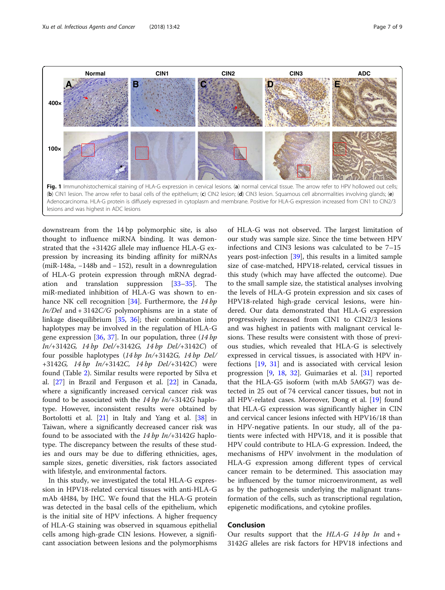<span id="page-6-0"></span>

downstream from the 14 bp polymorphic site, is also thought to influence miRNA binding. It was demonstrated that the +3142G allele may influence HLA-G expression by increasing its binding affinity for miRNAs (miR-148a, −148b and − 152), result in a downregulation of HLA-G protein expression through mRNA degradation and translation suppression [\[33](#page-8-0)–[35\]](#page-8-0). The miR-mediated inhibition of HLA-G was shown to en-hance NK cell recognition [\[34](#page-8-0)]. Furthermore, the 14 bp  $In/Del$  and  $+ 3142C/G$  polymorphisms are in a state of linkage disequilibrium [\[35](#page-8-0), [36\]](#page-8-0); their combination into haplotypes may be involved in the regulation of HLA-G gene expression [[36](#page-8-0), [37\]](#page-8-0). In our population, three  $(14 bp)$ In/+3142G, 14 bp Del/+3142G, 14 bp Del/+3142C) of four possible haplotypes  $(14 bp \ In/+3142)$ ,  $14 bp \ Del/$ +3142G, 14 bp In/+3142C, 14 bp Del/+3142C) were found (Table [2](#page-4-0)). Similar results were reported by Silva et al. [\[27\]](#page-8-0) in Brazil and Ferguson et al. [[22](#page-7-0)] in Canada, where a significantly increased cervical cancer risk was found to be associated with the  $14 bp$  In/+3142G haplotype. However, inconsistent results were obtained by Bortolotti et al. [\[21](#page-7-0)] in Italy and Yang et al. [\[38\]](#page-8-0) in Taiwan, where a significantly decreased cancer risk was found to be associated with the  $14 bp$  In/+3142G haplotype. The discrepancy between the results of these studies and ours may be due to differing ethnicities, ages, sample sizes, genetic diversities, risk factors associated with lifestyle, and environmental factors.

In this study, we investigated the total HLA-G expression in HPV18-related cervical tissues with anti-HLA-G mAb 4H84, by IHC. We found that the HLA-G protein was detected in the basal cells of the epithelium, which is the initial site of HPV infections. A higher frequency of HLA-G staining was observed in squamous epithelial cells among high-grade CIN lesions. However, a significant association between lesions and the polymorphisms

of HLA-G was not observed. The largest limitation of our study was sample size. Since the time between HPV infections and CIN3 lesions was calculated to be 7–15 years post-infection [[39\]](#page-8-0), this results in a limited sample size of case-matched, HPV18-related, cervical tissues in this study (which may have affected the outcome). Due to the small sample size, the statistical analyses involving the levels of HLA-G protein expression and six cases of HPV18-related high-grade cervical lesions, were hindered. Our data demonstrated that HLA-G expression progressively increased from CIN1 to CIN2/3 lesions and was highest in patients with malignant cervical lesions. These results were consistent with those of previous studies, which revealed that HLA-G is selectively expressed in cervical tissues, is associated with HPV infections [\[19](#page-7-0), [31](#page-8-0)] and is associated with cervical lesion progression [[9,](#page-7-0) [18,](#page-7-0) [32](#page-8-0)]. Guimarães et al. [\[31\]](#page-8-0) reported that the HLA-G5 isoform (with mAb 5A6G7) was detected in 25 out of 74 cervical cancer tissues, but not in all HPV-related cases. Moreover, Dong et al. [[19\]](#page-7-0) found that HLA-G expression was significantly higher in CIN and cervical cancer lesions infected with HPV16/18 than in HPV-negative patients. In our study, all of the patients were infected with HPV18, and it is possible that HPV could contribute to HLA-G expression. Indeed, the mechanisms of HPV involvment in the modulation of HLA-G expression among different types of cervical cancer remain to be determined. This association may be influenced by the tumor microenvironment, as well as by the pathogenesis underlying the malignant transformation of the cells, such as transcriptional regulation, epigenetic modifications, and cytokine profiles.

## Conclusion

Our results support that the  $HLA-G$  14 bp In and + 3142G alleles are risk factors for HPV18 infections and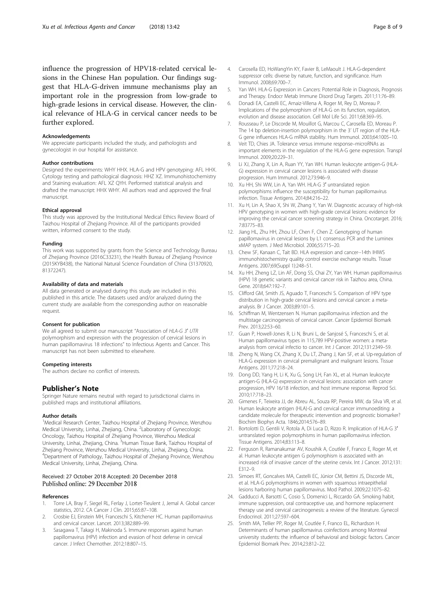<span id="page-7-0"></span>influence the progression of HPV18-related cervical lesions in the Chinese Han population. Our findings suggest that HLA-G-driven immune mechanisms play an important role in the progression from low-grade to high-grade lesions in cervical disease. However, the clinical relevance of HLA-G in cervical cancer needs to be further explored.

#### Acknowledgements

We appreciate participants included the study, and pathologists and gynecologist in our hospital for assistance.

#### Author contributions

Designed the experiments: WHY HHX. HLA-G and HPV genotyping: AFL HHX. Cytology testing and pathological diagnosis: HHZ XZ. Immunohistochemistry and Staining evaluation: AFL XZ QYH. Performed statistical analysis and drafted the manuscript: HHX WHY. All authors read and approved the final manuscript.

#### Ethical approval

This study was approved by the Institutional Medical Ethics Review Board of Taizhou Hospital of Zhejiang Province. All of the participants provided written, informed consent to the study.

#### Funding

This work was supported by grants from the Science and Technology Bureau of Zhejiang Province (2016C33231), the Health Bureau of Zhejiang Province (2015KYB438), the National Natural Science Foundation of China (31370920, 81372247).

#### Availability of data and materials

All data generated or analysed during this study are included in this published in this article. The datasets used and/or analyzed during the current study are available from the corresponding author on reasonable request.

## Consent for publication

We all agreed to submit our manuscript "Association of HLA-G 3' UTR polymorphism and expression with the progression of cervical lesions in human papillomavirus 18 infections" to Infectious Agents and Cancer. This manuscript has not been submitted to elsewhere.

#### Competing interests

The authors declare no conflict of interests.

## Publisher's Note

Springer Nature remains neutral with regard to jurisdictional claims in published maps and institutional affiliations.

#### Author details

<sup>1</sup>Medical Research Center, Taizhou Hospital of Zhejiang Province, Wenzhou Medical University, Linhai, Zhejiang, China. <sup>2</sup>Laboratory of Gynecologic Oncology, Taizhou Hospital of Zhejiang Province, Wenzhou Medical University, Linhai, Zhejiang, China. <sup>3</sup>Human Tissue Bank, Taizhou Hospital of Zhejiang Province, Wenzhou Medical University, Linhai, Zhejiang, China. 4 Department of Pathology, Taizhou Hospital of Zhejiang Province, Wenzhou Medical University, Linhai, Zhejiang, China.

## Received: 27 October 2018 Accepted: 20 December 2018 Published online: 29 December 2018

#### References

- 1. Torre LA, Bray F, Siegel RL, Ferlay J, Lortet-Tieulent J, Jemal A. Global cancer statistics, 2012. CA Cancer J Clin. 2015;65:87–108.
- 2. Crosbie EJ, Einstein MH, Franceschi S, Kitchener HC. Human papillomavirus and cervical cancer. Lancet. 2013;382:889–99.
- Sasagawa T, Takagi H, Makinoda S. Immune responses against human papillomavirus (HPV) infection and evasion of host defense in cervical cancer. J Infect Chemother. 2012;18:807–15.
- 4. Carosella ED, HoWangYin KY, Favier B, LeMaoult J. HLA-G-dependent suppressor cells: diverse by nature, function, and significance. Hum Immunol. 2008;69:700–7.
- 5. Yan WH. HLA-G Expression in Cancers: Potential Role in Diagnosis, Prognosis and Therapy. Endocr Metab Immune Disord Drug Targets. 2011;11:76–89.
- 6. Donadi EA, Castelli EC, Arnaiz-Villena A, Roger M, Rey D, Moreau P. Implications of the polymorphism of HLA-G on its function, regulation, evolution and disease association. Cell Mol Life Sci. 2011;68:369–95.
- 7. Rousseau P, Le Discorde M, Mouillot G, Marcou C, Carosella ED, Moreau P. The 14 bp deletion-insertion polymorphism in the 3' UT region of the HLA-G gene influences HLA-G mRNA stability. Hum Immunol. 2003;64:1005–10.
- 8. Veit TD, Chies JA. Tolerance versus immune response–microRNAs as important elements in the regulation of the HLA-G gene expression. Transpl Immunol. 2009;20:229–31.
- 9. Li XJ, Zhang X, Lin A, Ruan YY, Yan WH. Human leukocyte antigen-G (HLA-G) expression in cervical cancer lesions is associated with disease progression. Hum Immunol. 2012;73:946–9.
- 10. Xu HH, Shi WW, Lin A, Yan WH. HLA-G 3′ untranslated region polymorphisms influence the susceptibility for human papillomavirus infection. Tissue Antigens. 2014;84:216–22.
- 11. Xu H, Lin A, Shao X, Shi W, Zhang Y, Yan W. Diagnostic accuracy of high-risk HPV genotyping in women with high-grade cervical lesions: evidence for improving the cervical cancer screening strategy in China. Oncotarget. 2016; 7:83775–83.
- 12. Jiang HL, Zhu HH, Zhou LF, Chen F, Chen Z. Genotyping of human papillomavirus in cervical lesions by L1 consensus PCR and the Luminex xMAP system. J Med Microbiol. 2006;55:715–20.
- 13. Chew SF, Kanaan C, Tait BD. HLA expression and cancer--14th IHIWS immunohistochemistry quality control exercise exchange results. Tissue Antigens. 2007;69(Suppl 1):248–51.
- 14. Xu HH, Zheng LZ, Lin AF, Dong SS, Chai ZY, Yan WH. Human papillomavirus (HPV) 18 genetic variants and cervical cancer risk in Taizhou area, China. Gene. 2018;647:192–7.
- 15. Clifford GM, Smith JS, Aguado T, Franceschi S. Comparison of HPV type distribution in high-grade cervical lesions and cervical cancer: a metaanalysis. Br J Cancer. 2003;89:101–5.
- 16. Schiffman M, Wentzensen N. Human papillomavirus infection and the multistage carcinogenesis of cervical cancer. Cancer Epidemiol Biomark Prev. 2013;22:53–60.
- 17. Guan P, Howell-Jones R, Li N, Bruni L, de Sanjosé S, Franceschi S, et al. Human papillomavirus types in 115,789 HPV-positive women: a metaanalysis from cervical infectio to cancer. Int J Cancer. 2012;131:2349–59.
- 18. Zheng N, Wang CX, Zhang X, Du LT, Zhang J, Kan SF, et al. Up-regulation of HLA-G expression in cervical premalignant and malignant lesions. Tissue Antigens. 2011;77:218–24.
- 19. Dong DD, Yang H, Li K, Xu G, Song LH, Fan XL, et al. Human leukocyte antigen-G (HLA-G) expression in cervical lesions: association with cancer progression, HPV 16/18 infection, and host immune response. Reprod Sci. 2010;17:718–23.
- 20. Gimenes F, Teixeira JJ, de Abreu AL, Souza RP, Pereira MW, da Silva VR, et al. Human leukocyte antigen (HLA)-G and cervical cancer immunoediting: a candidate molecule for therapeutic intervention and prognostic biomarker? Biochim Biophys Acta. 1846;2014:576–89.
- 21. Bortolotti D, Gentili V, Rotola A, Di Luca D, Rizzo R. Implication of HLA-G 3' untranslated region polymorphisms in human papillomavirus infection. Tissue Antigens. 2014;83:113–8.
- 22. Ferguson R, Ramanakumar AV, Koushik A, Coutlée F, Franco E, Roger M, et al. Human leukocyte antigen G polymorphism is associated with an increased risk of invasive cancer of the uterine cervix. Int J Cancer. 2012;131: E312–9.
- 23. Simoes RT, Goncalves MA, Castelli EC, Júnior CM, Bettini JS, Discorde ML, et al. HLA-G polymorphisms in women with squamous intraepithelial lesions harboring human papillomavirus. Mod Pathol. 2009;22:1075–82.
- 24. Gadducci A, Barsotti C, Cosio S, Domenici L, Riccardo GA. Smoking habit, immune suppression, oral contraceptive use, and hormone replacement therapy use and cervical carcinogenesis: a review of the literature. Gynecol Endocrinol. 2011;27:597–604.
- 25. Smith MA, Tellier PP, Roger M, Coutlée F, Franco EL, Richardson H. Determinants of human papillomavirus coinfections among Montreal university students: the influence of behavioral and biologic factors. Cancer Epidemiol Biomark Prev. 2014;23:812–22.